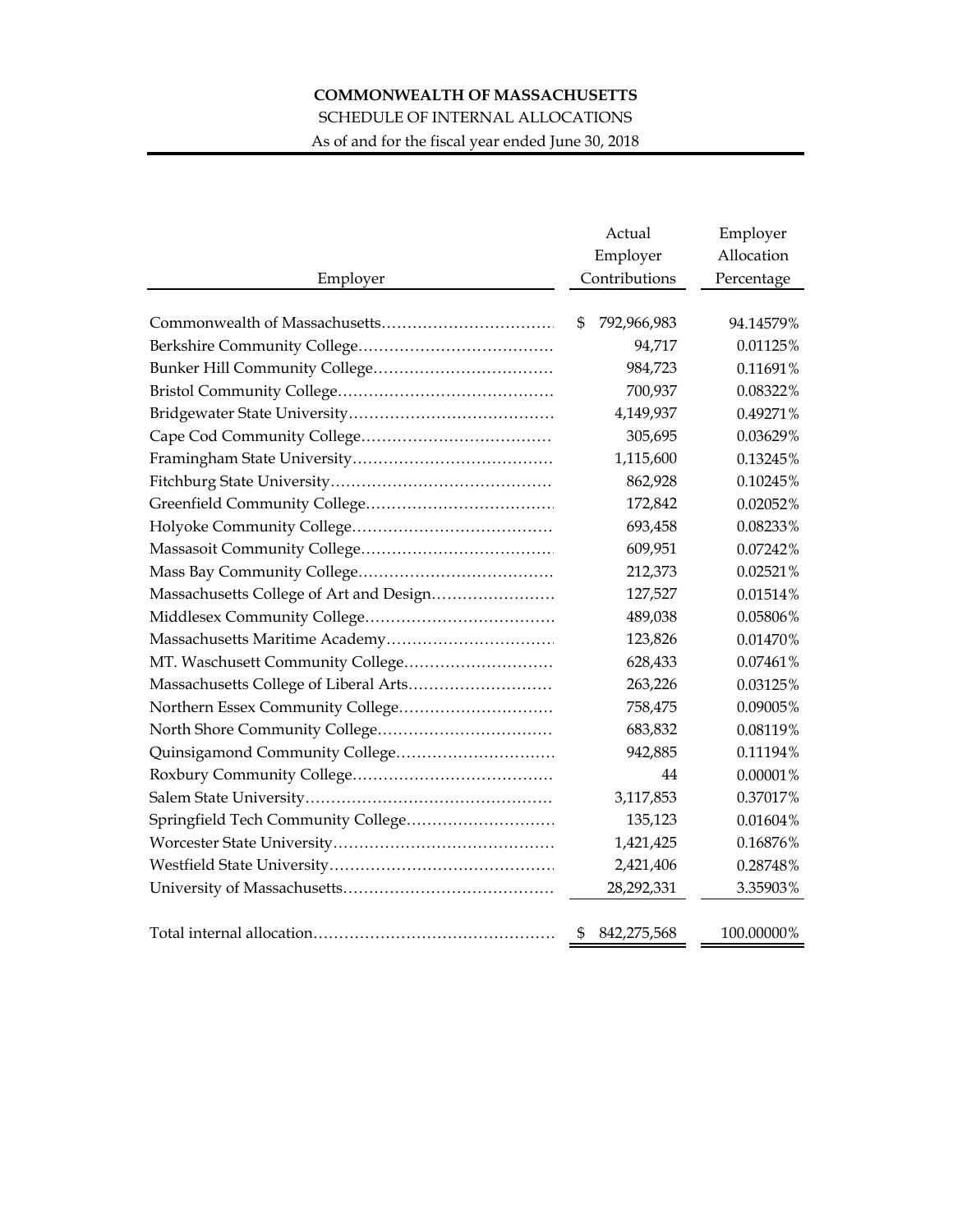## **COMMONWEALTH OF MASSACHUSETTS**

## SCHEDULE OF INTERNAL ALLOCATIONS

As of and for the fiscal year ended June 30, 2018

|                                         | Actual<br>Employer | Employer<br>Allocation |
|-----------------------------------------|--------------------|------------------------|
| Employer                                | Contributions      | Percentage             |
|                                         |                    |                        |
|                                         | \$<br>792,966,983  | 94.14579%              |
|                                         | 94,717             | 0.01125%               |
|                                         | 984,723            | 0.11691%               |
|                                         | 700,937            | 0.08322%               |
|                                         | 4,149,937          | 0.49271%               |
|                                         | 305,695            | 0.03629%               |
|                                         | 1,115,600          | 0.13245%               |
|                                         | 862,928            | 0.10245%               |
|                                         | 172,842            | 0.02052%               |
|                                         | 693,458            | 0.08233%               |
|                                         | 609,951            | 0.07242%               |
|                                         | 212,373            | 0.02521%               |
| Massachusetts College of Art and Design | 127,527            | 0.01514%               |
|                                         | 489,038            | 0.05806%               |
|                                         | 123,826            | 0.01470%               |
| MT. Waschusett Community College        | 628,433            | 0.07461%               |
|                                         | 263,226            | 0.03125%               |
| Northern Essex Community College        | 758,475            | 0.09005%               |
|                                         | 683,832            | 0.08119%               |
|                                         | 942,885            | 0.11194%               |
|                                         | 44                 | 0.00001%               |
|                                         | 3,117,853          | 0.37017%               |
| Springfield Tech Community College      | 135,123            | 0.01604%               |
|                                         | 1,421,425          | 0.16876%               |
|                                         | 2,421,406          | 0.28748%               |
|                                         | 28,292,331         | 3.35903%               |
|                                         |                    |                        |
|                                         | 842,275,568<br>\$  | 100.00000%             |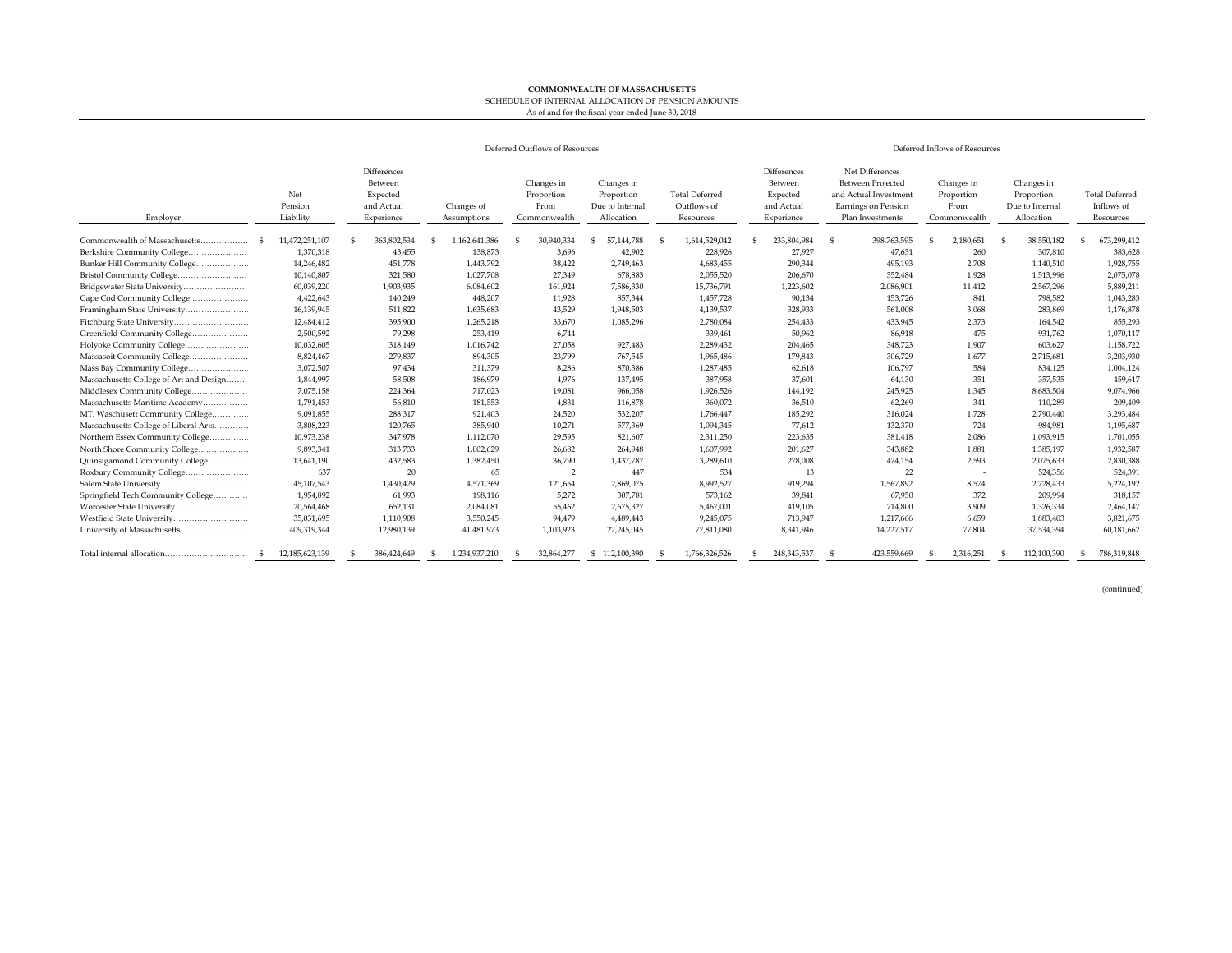## **COMMONWEALTH OF MASSACHUSETTS** SCHEDULE OF INTERNAL ALLOCATION OF PENSION AMOUNTS As of and for the fiscal year ended June 30, 2018

|                                         |                             | Deferred Outflows of Resources                                 |                           |                                                  |                                                           | Deferred Inflows of Resources                     |                                                                |                                                                                                                 |                                                  |                                                           |                                                  |
|-----------------------------------------|-----------------------------|----------------------------------------------------------------|---------------------------|--------------------------------------------------|-----------------------------------------------------------|---------------------------------------------------|----------------------------------------------------------------|-----------------------------------------------------------------------------------------------------------------|--------------------------------------------------|-----------------------------------------------------------|--------------------------------------------------|
| Employer                                | Net<br>Pension<br>Liability | Differences<br>Between<br>Expected<br>and Actual<br>Experience | Changes of<br>Assumptions | Changes in<br>Proportion<br>From<br>Commonwealth | Changes in<br>Proportion<br>Due to Internal<br>Allocation | <b>Total Deferred</b><br>Outflows of<br>Resources | Differences<br>Between<br>Expected<br>and Actual<br>Experience | Net Differences<br><b>Between Projected</b><br>and Actual Investment<br>Earnings on Pension<br>Plan Investments | Changes in<br>Proportion<br>From<br>Commonwealth | Changes in<br>Proportion<br>Due to Internal<br>Allocation | <b>Total Deferred</b><br>Inflows of<br>Resources |
| Commonwealth of Massachusetts           | 11,472,251,107              | 363.802.534                                                    | 1.162.641.386             | 30.940.334                                       | 57,144,788                                                | 1,614,529,042                                     | 233.804.984                                                    | 398.763.595                                                                                                     | 2,180,651                                        | 38,550,182                                                | 673,299,412                                      |
| Berkshire Community College             | 1,370,318                   | 43,455                                                         | 138,873                   | 3,696                                            | 42,902                                                    | 228,926                                           | 27,927                                                         | 47,631                                                                                                          | 260                                              | 307,810                                                   | 383,628                                          |
| Bunker Hill Community College           | 14,246,482                  | 451,778                                                        | 1,443,792                 | 38,422                                           | 2,749,463                                                 | 4,683,455                                         | 290,344                                                        | 495,193                                                                                                         | 2.708                                            | 1,140,510                                                 | 1,928,755                                        |
| Bristol Community College               | 10,140,807                  | 321,580                                                        | 1,027,708                 | 27,349                                           | 678,883                                                   | 2,055,520                                         | 206,670                                                        | 352,484                                                                                                         | 1,928                                            | 1,513,996                                                 | 2,075,078                                        |
| Bridgewater State University            | 60,039,220                  | 1,903,935                                                      | 6,084,602                 | 161,924                                          | 7,586,330                                                 | 15,736,791                                        | 1,223,602                                                      | 2,086,901                                                                                                       | 11,412                                           | 2,567,296                                                 | 5,889,211                                        |
| Cape Cod Community College              | 4,422,643                   | 140,249                                                        | 448.207                   | 11.928                                           | 857,344                                                   | 1,457,728                                         | 90,134                                                         | 153,726                                                                                                         | 841                                              | 798,582                                                   | 1,043,283                                        |
| Framingham State University             | 16,139,945                  | 511,822                                                        | 1,635,683                 | 43,529                                           | 1,948,503                                                 | 4,139,537                                         | 328,933                                                        | 561,008                                                                                                         | 3,068                                            | 283,869                                                   | 1,176,878                                        |
| Fitchburg State University              | 12,484,412                  | 395,900                                                        | 1,265,218                 | 33,670                                           | 1,085,296                                                 | 2,780,084                                         | 254,433                                                        | 433,945                                                                                                         | 2,373                                            | 164,542                                                   | 855,293                                          |
| Greenfield Community College            | 2,500,592                   | 79,298                                                         | 253,419                   | 6,744                                            |                                                           | 339,461                                           | 50,962                                                         | 86,918                                                                                                          | 475                                              | 931,762                                                   | 1,070,117                                        |
| Holyoke Community College               | 10,032,605                  | 318,149                                                        | 1,016,742                 | 27,058                                           | 927,483                                                   | 2,289,432                                         | 204,465                                                        | 348,723                                                                                                         | 1,907                                            | 603,627                                                   | 1,158,722                                        |
| Massasoit Community College             | 8,824,467                   | 279,837                                                        | 894,305                   | 23,799                                           | 767,545                                                   | 1,965,486                                         | 179,843                                                        | 306,729                                                                                                         | 1.677                                            | 2,715,681                                                 | 3,203,930                                        |
| Mass Bay Community College              | 3,072,507                   | 97,434                                                         | 311,379                   | 8,286                                            | 870,386                                                   | 1,287,485                                         | 62,618                                                         | 106,797                                                                                                         | 584                                              | 834,125                                                   | 1,004,124                                        |
| Massachusetts College of Art and Design | 1,844,997                   | 58,508                                                         | 186,979                   | 4,976                                            | 137,495                                                   | 387,958                                           | 37,601                                                         | 64,130                                                                                                          | 351                                              | 357,535                                                   | 459,617                                          |
| Middlesex Community College             | 7,075,158                   | 224,364                                                        | 717,023                   | 19,081                                           | 966,058                                                   | 1,926,526                                         | 144,192                                                        | 245,925                                                                                                         | 1.345                                            | 8,683,504                                                 | 9,074,966                                        |
| Massachusetts Maritime Academy          | 1,791,453                   | 56,810                                                         | 181,553                   | 4,831                                            | 116,878                                                   | 360,072                                           | 36,510                                                         | 62,269                                                                                                          | 341                                              | 110,289                                                   | 209,409                                          |
| MT. Waschusett Community College        | 9,091,855                   | 288,317                                                        | 921,403                   | 24,520                                           | 532.207                                                   | 1,766,447                                         | 185,292                                                        | 316,024                                                                                                         | 1.728                                            | 2,790,440                                                 | 3,293,484                                        |
| Massachusetts College of Liberal Arts   | 3,808,223                   | 120,765                                                        | 385,940                   | 10,271                                           | 577,369                                                   | 1,094,345                                         | 77,612                                                         | 132,370                                                                                                         | 724                                              | 984,981                                                   | 1,195,687                                        |
| Northern Essex Community College        | 10,973,238                  | 347.978                                                        | 1,112,070                 | 29.595                                           | 821.607                                                   | 2,311,250                                         | 223.635                                                        | 381,418                                                                                                         | 2.086                                            | 1.093.915                                                 | 1,701,055                                        |
| North Shore Community College           | 9,893,341                   | 313,733                                                        | 1,002,629                 | 26,682                                           | 264,948                                                   | 1,607,992                                         | 201,627                                                        | 343,882                                                                                                         | 1,881                                            | 1,385,197                                                 | 1,932,587                                        |
| Quinsigamond Community College          | 13,641,190                  | 432,583                                                        | 1,382,450                 | 36,790                                           | 1,437,787                                                 | 3,289,610                                         | 278,008                                                        | 474,154                                                                                                         | 2.593                                            | 2,075,633                                                 | 2,830,388                                        |
| Roxbury Community College               | 637                         | 20                                                             | 65                        | $\mathcal{P}$                                    | 447                                                       | 534                                               | 13                                                             | 22                                                                                                              | $\overline{\phantom{a}}$                         | 524,356                                                   | 524,391                                          |
|                                         | 45,107,543                  | 1,430,429                                                      | 4,571,369                 | 121,654                                          | 2,869,075                                                 | 8,992,527                                         | 919,294                                                        | 1,567,892                                                                                                       | 8.574                                            | 2,728,433                                                 | 5,224,192                                        |
| Springfield Tech Community College      | 1,954,892                   | 61,993                                                         | 198,116                   | 5,272                                            | 307,781                                                   | 573,162                                           | 39,841                                                         | 67,950                                                                                                          | 372                                              | 209,994                                                   | 318,157                                          |
| Worcester State University              | 20,564,468                  | 652,131                                                        | 2,084,081                 | 55,462                                           | 2,675,327                                                 | 5,467,001                                         | 419,105                                                        | 714,800                                                                                                         | 3.909                                            | 1,326,334                                                 | 2,464,147                                        |
| Westfield State University              | 35,031,695                  | 1,110,908                                                      | 3,550,245                 | 94,479                                           | 4,489,443                                                 | 9,245,075                                         | 713,947                                                        | 1,217,666                                                                                                       | 6,659                                            | 1,883,403                                                 | 3,821,675                                        |
| University of Massachusetts             | 409,319,344                 | 12,980,139                                                     | 41,481,973                | 1,103,923                                        | 22,245,045                                                | 77,811,080                                        | 8,341,946                                                      | 14,227,517                                                                                                      | 77.804                                           | 37,534,394                                                | 60,181,662                                       |
|                                         | 12.185.623.139              | 386.424.649                                                    | 1.234.937.210             | 32,864,277                                       | 112.100.390<br>-S                                         | 1.766.326.526                                     | 248,343,537                                                    | 423.559.669                                                                                                     | 2.316.251                                        | 112,100,390                                               | 786.319.848                                      |

(continued)